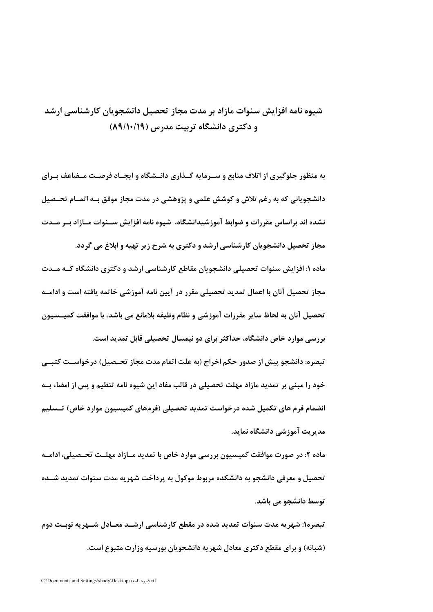## شیوه نامه افزایش سنوات مازاد بر مدت مجاز تحصیل دانشجویان کارشناسی ارشد و دکتری دانشگاه تربیت مدرس (۱۹/۱۰/۱۹)

به منظور جلوگیری از اتلاف منابع و سـرمایه گـذاری دانــشگاه و ایجـاد فرصـت مـضاعف بـرای دانشجویانی که به رغم تلاش و کوشش علمی و پژوهشی در مدت مجاز موفق بـه اتمـام تحـصیل نشده اند براساس مقررات و ضوابط آموزشیدانشگاه، شیوه نامه افزایش ســنوات مــازاد بــر مــدت مجاز تحصیل دانشجویان کارشناسی ارشد و دکتری به شرح زیر تهیه و ابلاغ می گردد. ماده ۱: افزایش سنوات تحصیلی دانشجویان مقاطع کارشناسی ارشد و دکتری دانشگاه کــه مــدت مجاز تحصیل آنان با اعمال تمدید تحصیلی مقرر در آیین نامه آموزشی خاتمه یافته است و ادامــه تحصیل آنان به لحاظ سایر مقررات آموزشی و نظام وظیفه بلامانع می باشد، با موافقت کمیــسیون بررسی موارد خاص دانشگاه، حداکثر برای دو نیمسال تحصیلی قابل تمدید است. تبصره: دانشجو پیش از صدور حکم اخراج (به علت اتمام مدت مجاز تحـصیل) درخواســت کتبــی

خود را مبنی بر تمدید مازاد مهلت تحصیلی در قالب مفاد این شیوه نامه تنظیم و پس از امضاء بــه انضمام فرم های تکمیل شده درخواست تمدید تحصیلی (فرمهای کمیسیون موارد خاص) تــسلیم مدیریت آموزشی دانشگاه نماید.

ماده ۲: در صورت موافقت کمیسیون بررسی موارد خاص با تمدید مــازاد مهلــت تحــصیلی، ادامــه تحصیل و معرفی دانشجو به دانشکده مربوط موکول به پرداخت شهریه مدت سنوات تمدید شــده توسط دانشجو مے باشد.

تبصره۱: شهریه مدت سنوات تمدید شده در مقطع کارشناسی ارشــد معــادل شــهریه نوبــت دوم (شبانه) و برای مقطع دکتری معادل شهر به دانشجویان بورسیه وزارت متبوع است.